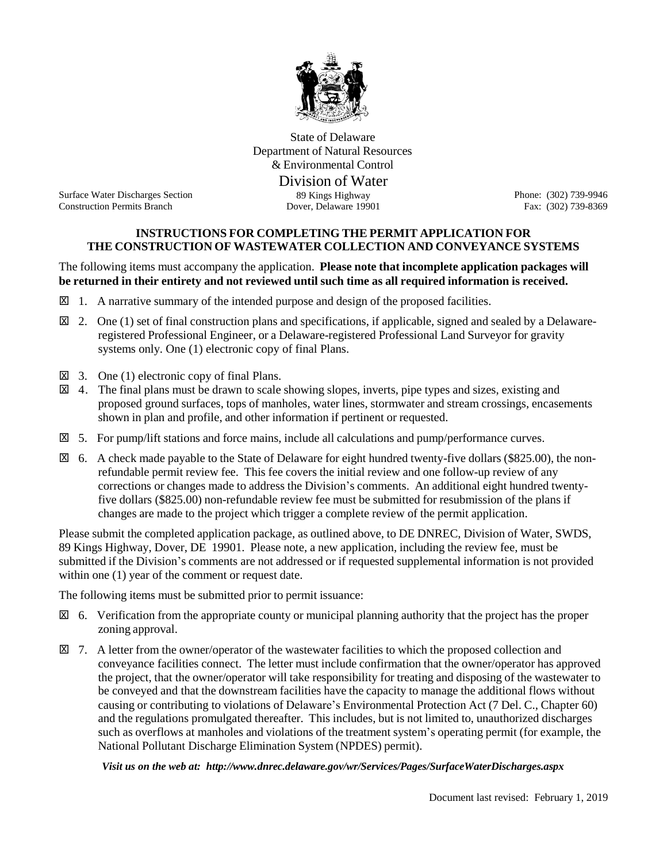

State of Delaware Department of Natural Resources & Environmental Control

Division of Water<br>89 Kings Highway

Surface Water Discharges Section Construction Permits Branch **Dover, Delaware 19901** Fax: (302) 739-8369

Phone: (302) 739-9946

## **INSTRUCTIONS FOR COMPLETING THE PERMIT APPLICATION FOR THE CONSTRUCTION OF WASTEWATER COLLECTION AND CONVEYANCE SYSTEMS**

The following items must accompany the application. **Please note that incomplete application packages will be returned in their entirety and not reviewed until such time as all required information is received.**

- $\boxtimes$  1. A narrative summary of the intended purpose and design of the proposed facilities.
- $\boxtimes$  2. One (1) set of final construction plans and specifications, if applicable, signed and sealed by a Delawareregistered Professional Engineer, or a Delaware-registered Professional Land Surveyor for gravity systems only. One (1) electronic copy of final Plans.
- $\boxtimes$  3. One (1) electronic copy of final Plans.
- 4. The final plans must be drawn to scale showing slopes, inverts, pipe types and sizes, existing and x proposed ground surfaces, tops of manholes, water lines, stormwater and stream crossings, encasements shown in plan and profile, and other information if pertinent or requested.
- 5. For pump/lift stations and force mains, include all calculations and pump/performance curves. x
- 6. A check made payable to the State of Delaware for eight hundred twenty-five dollars (\$825.00), the non-x refundable permit review fee. This fee covers the initial review and one follow-up review of any corrections or changes made to address the Division's comments. An additional eight hundred twentyfive dollars (\$825.00) non-refundable review fee must be submitted for resubmission of the plans if changes are made to the project which trigger a complete review of the permit application.

Please submit the completed application package, as outlined above, to DE DNREC, Division of Water, SWDS, 89 Kings Highway, Dover, DE 19901. Please note, a new application, including the review fee, must be submitted if the Division's comments are not addressed or if requested supplemental information is not provided within one  $(1)$  year of the comment or request date.

The following items must be submitted prior to permit issuance:

- $\boxtimes$  6. Verification from the appropriate county or municipal planning authority that the project has the proper zoning approval.
- 7. A letter from the owner/operator of the wastewater facilities to which the proposed collection and xconveyance facilities connect. The letter must include confirmation that the owner/operator has approved the project, that the owner/operator will take responsibility for treating and disposing of the wastewater to be conveyed and that the downstream facilities have the capacity to manage the additional flows without causing or contributing to violations of Delaware's Environmental Protection Act (7 Del. C., Chapter 60) and the regulations promulgated thereafter. This includes, but is not limited to, unauthorized discharges such as overflows at manholes and violations of the treatment system's operating permit (for example, the National Pollutant Discharge Elimination System (NPDES) permit).

*Visit us on the web at: <http://www.dnrec.delaware.gov/wr/Services/Pages/SurfaceWaterDischarges.aspx>*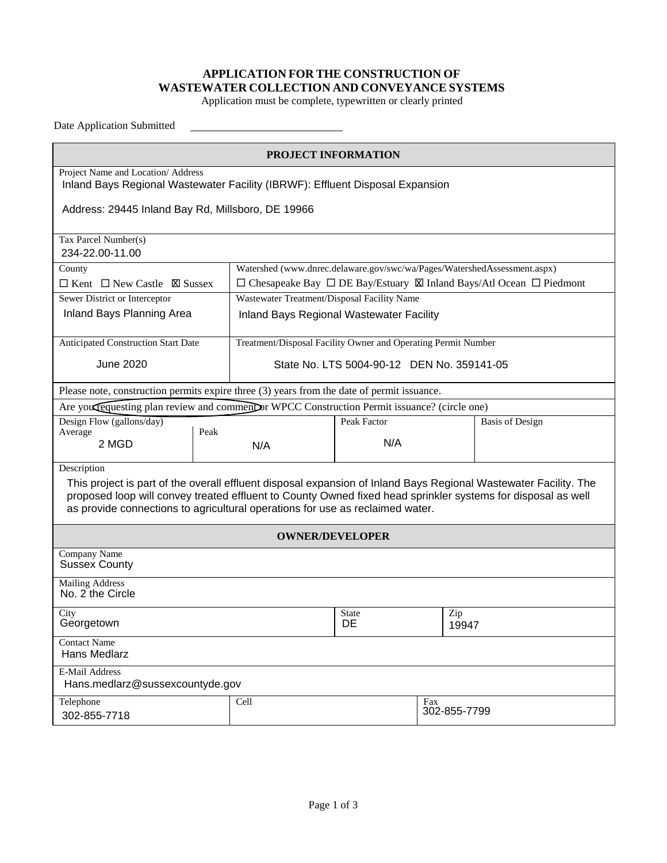## **APPLICATION FOR THE CONSTRUCTION OF WASTEWATER COLLECTION AND CONVEYANCE SYSTEMS**

Application must be complete, typewritten or clearly printed

Date Application Submitted

| PROJECT INFORMATION                                                                                                                                                                                                                                                                                               |                                                                                               |                                                                          |                     |                        |  |  |  |  |
|-------------------------------------------------------------------------------------------------------------------------------------------------------------------------------------------------------------------------------------------------------------------------------------------------------------------|-----------------------------------------------------------------------------------------------|--------------------------------------------------------------------------|---------------------|------------------------|--|--|--|--|
| Project Name and Location/ Address<br>Inland Bays Regional Wastewater Facility (IBRWF): Effluent Disposal Expansion                                                                                                                                                                                               |                                                                                               |                                                                          |                     |                        |  |  |  |  |
| Address: 29445 Inland Bay Rd, Millsboro, DE 19966                                                                                                                                                                                                                                                                 |                                                                                               |                                                                          |                     |                        |  |  |  |  |
| Tax Parcel Number(s)<br>234-22.00-11.00                                                                                                                                                                                                                                                                           |                                                                                               |                                                                          |                     |                        |  |  |  |  |
| County                                                                                                                                                                                                                                                                                                            |                                                                                               | Watershed (www.dnrec.delaware.gov/swc/wa/Pages/WatershedAssessment.aspx) |                     |                        |  |  |  |  |
| $\Box$ Kent $\Box$ New Castle $\Box$ Sussex                                                                                                                                                                                                                                                                       | $\Box$ Chesapeake Bay $\Box$ DE Bay/Estuary $\boxtimes$ Inland Bays/Atl Ocean $\Box$ Piedmont |                                                                          |                     |                        |  |  |  |  |
| Sewer District or Interceptor                                                                                                                                                                                                                                                                                     | Wastewater Treatment/Disposal Facility Name                                                   |                                                                          |                     |                        |  |  |  |  |
| Inland Bays Planning Area                                                                                                                                                                                                                                                                                         |                                                                                               | <b>Inland Bays Regional Wastewater Facility</b>                          |                     |                        |  |  |  |  |
| <b>Anticipated Construction Start Date</b><br>Treatment/Disposal Facility Owner and Operating Permit Number                                                                                                                                                                                                       |                                                                                               |                                                                          |                     |                        |  |  |  |  |
| <b>June 2020</b>                                                                                                                                                                                                                                                                                                  | State No. LTS 5004-90-12 DEN No. 359141-05                                                    |                                                                          |                     |                        |  |  |  |  |
| Please note, construction permits expire three (3) years from the date of permit issuance.                                                                                                                                                                                                                        |                                                                                               |                                                                          |                     |                        |  |  |  |  |
| Are you requesting plan review and comment or WPCC Construction Permit issuance? (circle one)                                                                                                                                                                                                                     |                                                                                               |                                                                          |                     |                        |  |  |  |  |
| Design Flow (gallons/day)                                                                                                                                                                                                                                                                                         |                                                                                               | Peak Factor                                                              |                     | <b>Basis of Design</b> |  |  |  |  |
| Peak<br>Average                                                                                                                                                                                                                                                                                                   |                                                                                               |                                                                          |                     |                        |  |  |  |  |
| 2 MGD                                                                                                                                                                                                                                                                                                             | N/A                                                                                           | N/A                                                                      |                     |                        |  |  |  |  |
| Description                                                                                                                                                                                                                                                                                                       |                                                                                               |                                                                          |                     |                        |  |  |  |  |
| This project is part of the overall effluent disposal expansion of Inland Bays Regional Wastewater Facility. The<br>proposed loop will convey treated effluent to County Owned fixed head sprinkler systems for disposal as well<br>as provide connections to agricultural operations for use as reclaimed water. |                                                                                               |                                                                          |                     |                        |  |  |  |  |
| <b>OWNER/DEVELOPER</b>                                                                                                                                                                                                                                                                                            |                                                                                               |                                                                          |                     |                        |  |  |  |  |
| Company Name<br><b>Sussex County</b>                                                                                                                                                                                                                                                                              |                                                                                               |                                                                          |                     |                        |  |  |  |  |
| <b>Mailing Address</b><br>No. 2 the Circle                                                                                                                                                                                                                                                                        |                                                                                               |                                                                          |                     |                        |  |  |  |  |
| City<br>Georgetown                                                                                                                                                                                                                                                                                                | <b>State</b><br>DE                                                                            | Zip<br>19947                                                             |                     |                        |  |  |  |  |
| <b>Contact Name</b><br>Hans Medlarz                                                                                                                                                                                                                                                                               |                                                                                               |                                                                          |                     |                        |  |  |  |  |
| E-Mail Address<br>Hans.medlarz@sussexcountyde.gov                                                                                                                                                                                                                                                                 |                                                                                               |                                                                          |                     |                        |  |  |  |  |
| Telephone<br>302-855-7718                                                                                                                                                                                                                                                                                         | Cell                                                                                          |                                                                          | Fax<br>302-855-7799 |                        |  |  |  |  |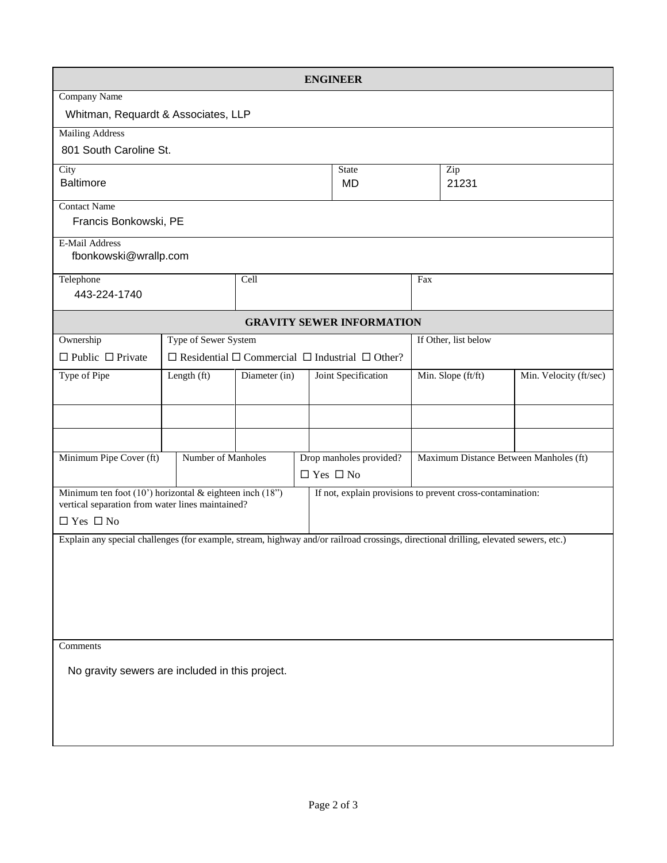|                                                                                                                                                                           |                         |                                                                      |  | <b>ENGINEER</b>     |                      |  |                        |  |
|---------------------------------------------------------------------------------------------------------------------------------------------------------------------------|-------------------------|----------------------------------------------------------------------|--|---------------------|----------------------|--|------------------------|--|
| <b>Company Name</b>                                                                                                                                                       |                         |                                                                      |  |                     |                      |  |                        |  |
| Whitman, Requardt & Associates, LLP                                                                                                                                       |                         |                                                                      |  |                     |                      |  |                        |  |
| <b>Mailing Address</b>                                                                                                                                                    |                         |                                                                      |  |                     |                      |  |                        |  |
| 801 South Caroline St.                                                                                                                                                    |                         |                                                                      |  |                     |                      |  |                        |  |
| City<br><b>State</b>                                                                                                                                                      |                         |                                                                      |  |                     | Zip                  |  |                        |  |
| <b>Baltimore</b><br><b>MD</b>                                                                                                                                             |                         |                                                                      |  |                     | 21231                |  |                        |  |
|                                                                                                                                                                           | <b>Contact Name</b>     |                                                                      |  |                     |                      |  |                        |  |
| Francis Bonkowski, PE                                                                                                                                                     |                         |                                                                      |  |                     |                      |  |                        |  |
| <b>E-Mail Address</b><br>fbonkowski@wrallp.com                                                                                                                            |                         |                                                                      |  |                     |                      |  |                        |  |
| Telephone<br>Cell                                                                                                                                                         |                         |                                                                      |  |                     | Fax                  |  |                        |  |
| 443-224-1740                                                                                                                                                              |                         |                                                                      |  |                     |                      |  |                        |  |
| <b>GRAVITY SEWER INFORMATION</b>                                                                                                                                          |                         |                                                                      |  |                     |                      |  |                        |  |
| Ownership                                                                                                                                                                 | Type of Sewer System    |                                                                      |  |                     | If Other, list below |  |                        |  |
| $\Box$ Public $\Box$ Private                                                                                                                                              |                         | $\Box$ Residential $\Box$ Commercial $\Box$ Industrial $\Box$ Other? |  |                     |                      |  |                        |  |
| Type of Pipe                                                                                                                                                              | Length (ft)             | Diameter (in)                                                        |  | Joint Specification | Min. Slope (ft/ft)   |  | Min. Velocity (ft/sec) |  |
|                                                                                                                                                                           |                         |                                                                      |  |                     |                      |  |                        |  |
|                                                                                                                                                                           |                         |                                                                      |  |                     |                      |  |                        |  |
| Minimum Pipe Cover (ft)                                                                                                                                                   | Drop manholes provided? | Maximum Distance Between Manholes (ft)                               |  |                     |                      |  |                        |  |
| $\Box$ Yes $\Box$ No                                                                                                                                                      |                         |                                                                      |  |                     |                      |  |                        |  |
| Minimum ten foot (10') horizontal & eighteen inch (18")<br>If not, explain provisions to prevent cross-contamination:<br>vertical separation from water lines maintained? |                         |                                                                      |  |                     |                      |  |                        |  |
| $\Box$ Yes $\Box$ No                                                                                                                                                      |                         |                                                                      |  |                     |                      |  |                        |  |
| Explain any special challenges (for example, stream, highway and/or railroad crossings, directional drilling, elevated sewers, etc.)                                      |                         |                                                                      |  |                     |                      |  |                        |  |
|                                                                                                                                                                           |                         |                                                                      |  |                     |                      |  |                        |  |
|                                                                                                                                                                           |                         |                                                                      |  |                     |                      |  |                        |  |
|                                                                                                                                                                           |                         |                                                                      |  |                     |                      |  |                        |  |
|                                                                                                                                                                           |                         |                                                                      |  |                     |                      |  |                        |  |
|                                                                                                                                                                           |                         |                                                                      |  |                     |                      |  |                        |  |
| Comments                                                                                                                                                                  |                         |                                                                      |  |                     |                      |  |                        |  |
| No gravity sewers are included in this project.                                                                                                                           |                         |                                                                      |  |                     |                      |  |                        |  |
|                                                                                                                                                                           |                         |                                                                      |  |                     |                      |  |                        |  |
|                                                                                                                                                                           |                         |                                                                      |  |                     |                      |  |                        |  |
|                                                                                                                                                                           |                         |                                                                      |  |                     |                      |  |                        |  |
|                                                                                                                                                                           |                         |                                                                      |  |                     |                      |  |                        |  |